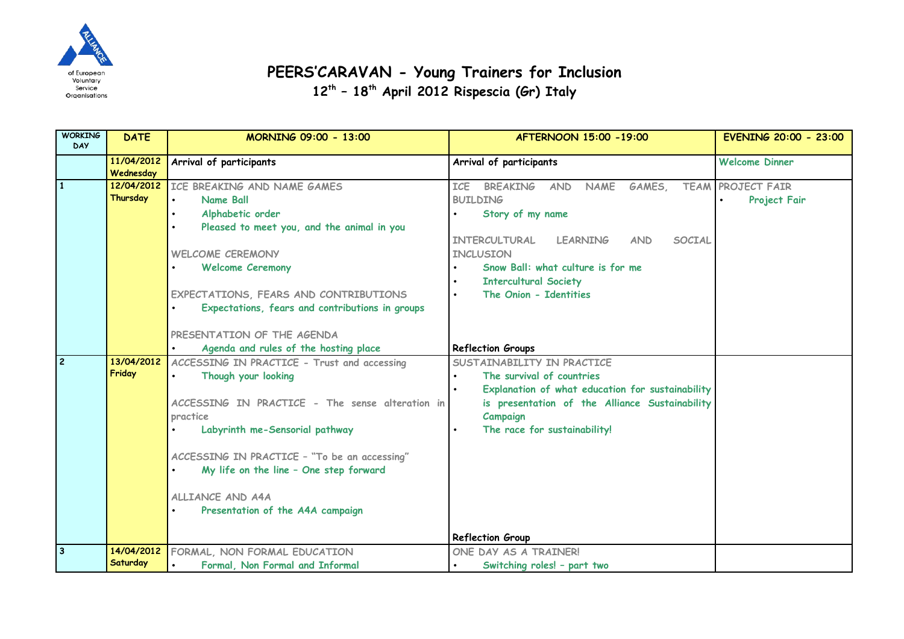

## **PEERS'CARAVAN - Young Trainers for Inclusion**

**12th – 18th April 2012 Rispescia (Gr) Italy**

| <b>WORKING</b><br><b>DAY</b> | <b>DATE</b>             | MORNING 09:00 - 13:00                                                                | AFTERNOON 15:00 - 19:00                                              | <b>EVENING 20:00 - 23:00</b> |
|------------------------------|-------------------------|--------------------------------------------------------------------------------------|----------------------------------------------------------------------|------------------------------|
|                              | 11/04/2012<br>Wednesday | Arrival of participants                                                              | Arrival of participants                                              | <b>Welcome Dinner</b>        |
| $\mathbf{1}$                 | 12/04/2012              | ICE BREAKING AND NAME GAMES                                                          | <b>ICF</b><br><b>BREAKING</b><br><b>NAME</b><br>GAMES,<br><b>AND</b> | <b>TEAM PROJECT FAIR</b>     |
|                              | Thursday                | Name Ball                                                                            | <b>BUILDING</b>                                                      | Project Fair                 |
|                              |                         | Alphabetic order                                                                     | Story of my name                                                     |                              |
|                              |                         | Pleased to meet you, and the animal in you                                           |                                                                      |                              |
|                              |                         |                                                                                      | INTERCULTURAL<br><b>LEARNING</b><br><b>SOCIAL</b><br><b>AND</b>      |                              |
|                              |                         | <b>WELCOME CEREMONY</b>                                                              | <b>INCLUSION</b>                                                     |                              |
|                              |                         | <b>Welcome Ceremony</b>                                                              | Snow Ball: what culture is for me                                    |                              |
|                              |                         |                                                                                      | <b>Intercultural Society</b>                                         |                              |
|                              |                         | EXPECTATIONS, FEARS AND CONTRIBUTIONS                                                | The Onion - Identities                                               |                              |
|                              |                         | Expectations, fears and contributions in groups                                      |                                                                      |                              |
|                              |                         |                                                                                      |                                                                      |                              |
|                              |                         | PRESENTATION OF THE AGENDA                                                           |                                                                      |                              |
| $\overline{2}$               | 13/04/2012              | Agenda and rules of the hosting place<br>ACCESSING IN PRACTICE - Trust and accessing | <b>Reflection Groups</b><br>SUSTAINABILITY IN PRACTICE               |                              |
|                              | Friday                  | Though your looking                                                                  | The survival of countries                                            |                              |
|                              |                         |                                                                                      | Explanation of what education for sustainability                     |                              |
|                              |                         | ACCESSING IN PRACTICE - The sense alteration in                                      | is presentation of the Alliance Sustainability                       |                              |
|                              |                         | practice                                                                             | Campaign                                                             |                              |
|                              |                         | Labyrinth me-Sensorial pathway                                                       | The race for sustainability!                                         |                              |
|                              |                         |                                                                                      |                                                                      |                              |
|                              |                         | ACCESSING IN PRACTICE - "To be an accessing"                                         |                                                                      |                              |
|                              |                         | My life on the line - One step forward                                               |                                                                      |                              |
|                              |                         | ALLIANCE AND A4A                                                                     |                                                                      |                              |
|                              |                         | Presentation of the A4A campaign                                                     |                                                                      |                              |
|                              |                         |                                                                                      |                                                                      |                              |
|                              |                         |                                                                                      | <b>Reflection Group</b>                                              |                              |
| $\overline{3}$               | 14/04/2012              | FORMAL, NON FORMAL EDUCATION                                                         | ONE DAY AS A TRAINER!                                                |                              |
|                              | Saturday                | Formal, Non Formal and Informal                                                      | Switching roles! - part two                                          |                              |